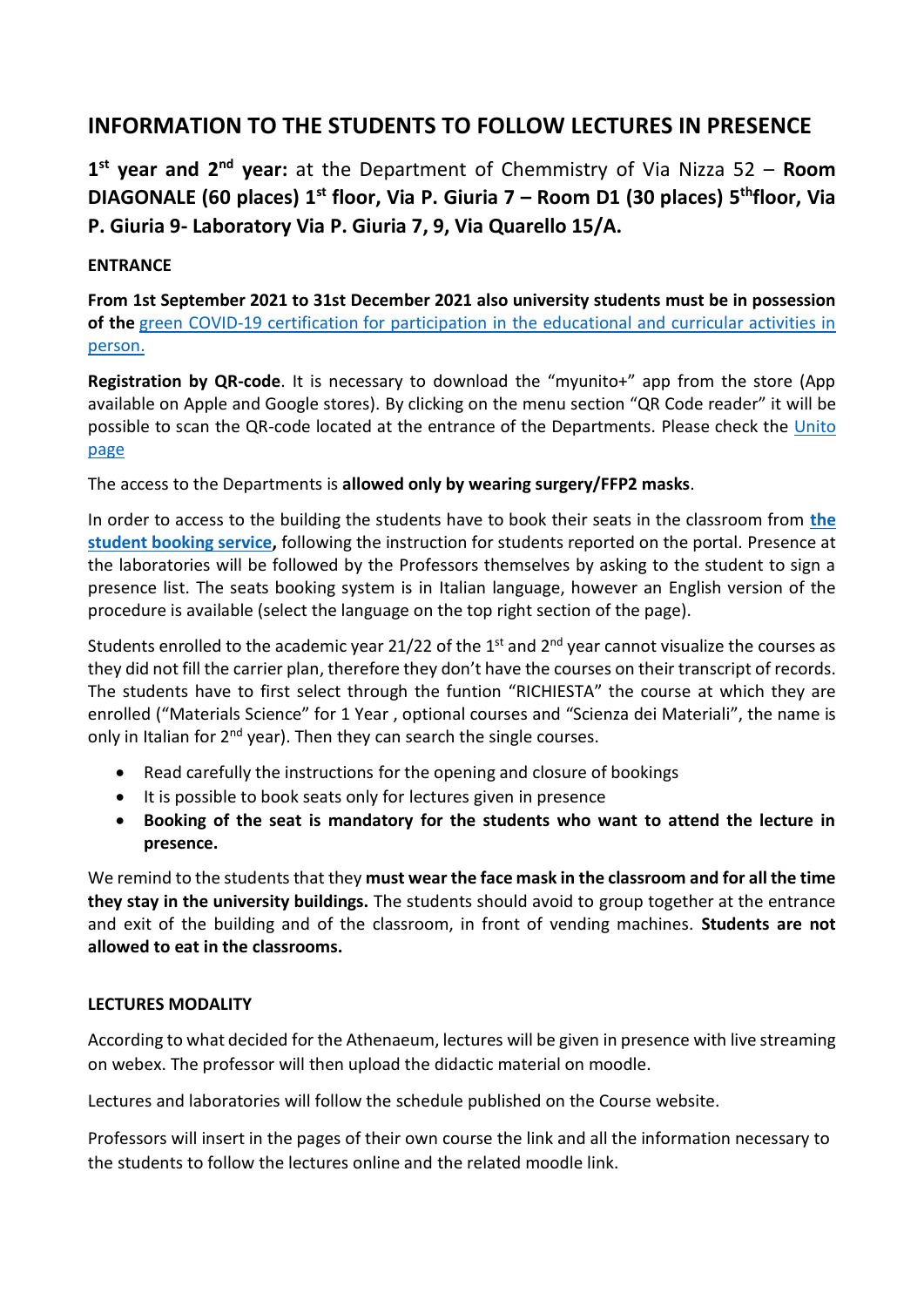## **INFORMATION TO THE STUDENTS TO FOLLOW LECTURES IN PRESENCE**

1<sup>st</sup> year and 2<sup>nd</sup> year: at the Department of Chemmistry of Via Nizza 52 – Room **DIAGONALE (60 places) 1st floor, Via P. Giuria 7 – Room D1 (30 places) 5 thfloor, Via P. Giuria 9- Laboratory Via P. Giuria 7, 9, Via Quarello 15/A.**

## **ENTRANCE**

**From 1st September 2021 to 31st December 2021 also university students must be in possession of the** green COVID-19 certification [for participation in the educational and curricular activities in](https://en.unito.it/news/urgent-measures-safe-exercise-university-activities-starting-1st-september-2021)  [person.](https://en.unito.it/news/urgent-measures-safe-exercise-university-activities-starting-1st-september-2021)

**Registration by QR-code**. It is necessary to download the "myunito+" app from the store (App available on Apple and Google stores). By clicking on the menu section "QR Code reader" it will be possible to scan the QR-code located at the entrance of the Departments. Please check the [Unito](https://en.unito.it/coronavirus-updates-unito-community/back-unito-access-university-venues)  [page](https://en.unito.it/coronavirus-updates-unito-community/back-unito-access-university-venues)

The access to the Departments is **allowed only by wearing surgery/FFP2 masks**.

In order to access to the building the students have to book their seats in the classroom from **[the](https://en.unito.it/news/book-your-place-classroom-student-booking-service)  [student booking service,](https://en.unito.it/news/book-your-place-classroom-student-booking-service)** following the instruction for students reported on the portal. Presence at the laboratories will be followed by the Professors themselves by asking to the student to sign a presence list. The seats booking system is in Italian language, however an English version of the procedure is available (select the language on the top right section of the page).

Students enrolled to the academic year 21/22 of the 1<sup>st</sup> and 2<sup>nd</sup> year cannot visualize the courses as they did not fill the carrier plan, therefore they don't have the courses on their transcript of records. The students have to first select through the funtion "RICHIESTA" the course at which they are enrolled ("Materials Science" for 1 Year , optional courses and "Scienza dei Materiali", the name is only in Italian for  $2<sup>nd</sup>$  year). Then they can search the single courses.

- Read carefully the instructions for the opening and closure of bookings
- It is possible to book seats only for lectures given in presence
- **Booking of the seat is mandatory for the students who want to attend the lecture in presence.**

We remind to the students that they **must wear the face mask in the classroom and for all the time they stay in the university buildings.** The students should avoid to group together at the entrance and exit of the building and of the classroom, in front of vending machines. **Students are not allowed to eat in the classrooms.**

## **LECTURES MODALITY**

According to what decided for the Athenaeum, lectures will be given in presence with live streaming on webex. The professor will then upload the didactic material on moodle.

Lectures and laboratories will follow the schedule published on the Course website.

Professors will insert in the pages of their own course the link and all the information necessary to the students to follow the lectures online and the related moodle link.